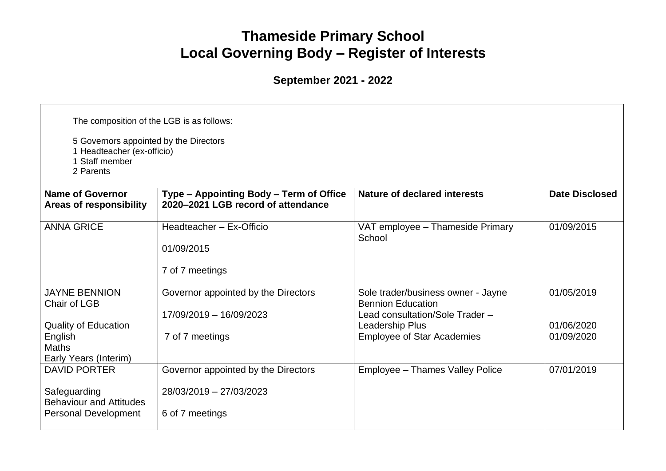## **Thameside Primary School Local Governing Body – Register of Interests**

**September 2021 - 2022**

| The composition of the LGB is as follows:<br>5 Governors appointed by the Directors<br>1 Headteacher (ex-officio)<br>1 Staff member<br>2 Parents |                                                                                   |                                                                                                   |                          |  |  |
|--------------------------------------------------------------------------------------------------------------------------------------------------|-----------------------------------------------------------------------------------|---------------------------------------------------------------------------------------------------|--------------------------|--|--|
| <b>Name of Governor</b><br><b>Areas of responsibility</b>                                                                                        | Type - Appointing Body - Term of Office<br>2020-2021 LGB record of attendance     | Nature of declared interests                                                                      | <b>Date Disclosed</b>    |  |  |
| <b>ANNA GRICE</b>                                                                                                                                | Headteacher - Ex-Officio<br>01/09/2015<br>7 of 7 meetings                         | VAT employee - Thameside Primary<br>School                                                        | 01/09/2015               |  |  |
| <b>JAYNE BENNION</b><br>Chair of LGB                                                                                                             | Governor appointed by the Directors<br>17/09/2019 - 16/09/2023                    | Sole trader/business owner - Jayne<br><b>Bennion Education</b><br>Lead consultation/Sole Trader - | 01/05/2019               |  |  |
| <b>Quality of Education</b><br>English<br><b>Maths</b><br>Early Years (Interim)                                                                  | 7 of 7 meetings                                                                   | Leadership Plus<br><b>Employee of Star Academies</b>                                              | 01/06/2020<br>01/09/2020 |  |  |
| <b>DAVID PORTER</b><br>Safeguarding<br><b>Behaviour and Attitudes</b><br>Personal Development                                                    | Governor appointed by the Directors<br>28/03/2019 - 27/03/2023<br>6 of 7 meetings | Employee - Thames Valley Police                                                                   | 07/01/2019               |  |  |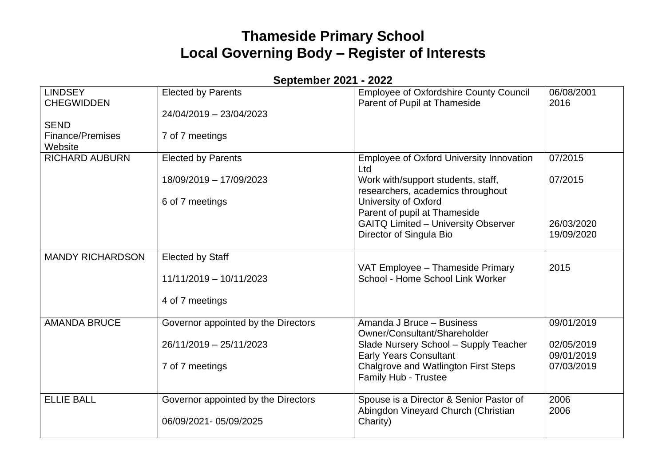## **Thameside Primary School Local Governing Body – Register of Interests**

**September 2021 - 2022**

| <b>LINDSEY</b><br><b>CHEGWIDDEN</b><br><b>SEND</b> | <b>Elected by Parents</b><br>24/04/2019 - 23/04/2023 | <b>Employee of Oxfordshire County Council</b><br>Parent of Pupil at Thameside | 06/08/2001<br>2016 |
|----------------------------------------------------|------------------------------------------------------|-------------------------------------------------------------------------------|--------------------|
| <b>Finance/Premises</b><br>Website                 | 7 of 7 meetings                                      |                                                                               |                    |
| <b>RICHARD AUBURN</b>                              | <b>Elected by Parents</b>                            | Employee of Oxford University Innovation<br>Ltd                               | 07/2015            |
|                                                    | 18/09/2019 - 17/09/2023                              | Work with/support students, staff,<br>researchers, academics throughout       | 07/2015            |
|                                                    | 6 of 7 meetings                                      | University of Oxford                                                          |                    |
|                                                    |                                                      | Parent of pupil at Thameside                                                  |                    |
|                                                    |                                                      | <b>GAITQ Limited - University Observer</b>                                    | 26/03/2020         |
|                                                    |                                                      | Director of Singula Bio                                                       | 19/09/2020         |
| <b>MANDY RICHARDSON</b>                            | <b>Elected by Staff</b>                              |                                                                               |                    |
|                                                    | 11/11/2019 - 10/11/2023                              | VAT Employee - Thameside Primary<br>School - Home School Link Worker          | 2015               |
|                                                    | 4 of 7 meetings                                      |                                                                               |                    |
| <b>AMANDA BRUCE</b>                                | Governor appointed by the Directors                  | Amanda J Bruce - Business<br>Owner/Consultant/Shareholder                     | 09/01/2019         |
|                                                    | 26/11/2019 - 25/11/2023                              | Slade Nursery School - Supply Teacher                                         | 02/05/2019         |
|                                                    |                                                      | <b>Early Years Consultant</b>                                                 | 09/01/2019         |
|                                                    | 7 of 7 meetings                                      | Chalgrove and Watlington First Steps<br>Family Hub - Trustee                  | 07/03/2019         |
| <b>ELLIE BALL</b>                                  | Governor appointed by the Directors                  | Spouse is a Director & Senior Pastor of                                       | 2006               |
|                                                    | 06/09/2021 - 05/09/2025                              | Abingdon Vineyard Church (Christian<br>Charity)                               | 2006               |